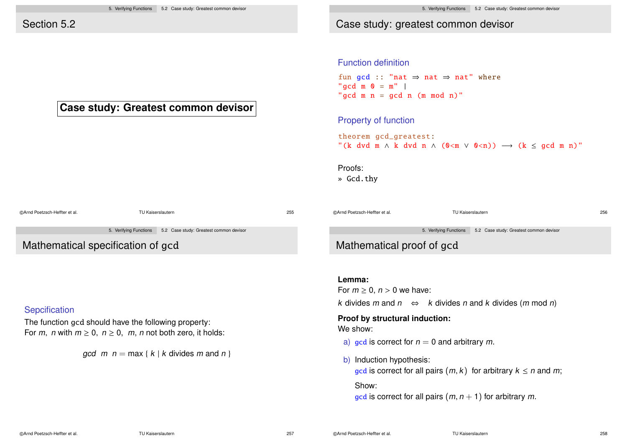**Case study: Greatest common devisor**

### Section 5.2

Case study: greatest common devisor

Function definition

fun  $acd :: "nat \Rightarrow nat \Rightarrow nat" where$ "gcd  $m \space 0 = m"$  | " $acd \t m \t n = gcd \t n \t (m \t mod \t n)$ "

Property of function

theorem gcd\_greatest: "(k dvd m  $\land$  k dvd n  $\land$  (0 < m  $\lor$  0 < n))  $\rightarrow$  (k < acd m n)"

*k* divides *m* and *n* ⇔ *k* divides *n* and *k* divides (*m* mod *n*)

gcd is correct for all pairs  $(m, k)$  for arbitrary  $k \leq n$  and m;

gcd is correct for all pairs  $(m, n + 1)$  for arbitrary m.

**Proof by structural induction:**

b) Induction hypothesis:

a) gcd is correct for  $n = 0$  and arbitrary m.

Proofs:

» Gcd.thy

©Arnd Poetzsch-Heffter et al. TU Kaiserslautern 255 ©Arnd Poetzsch-Heffter et al. TU Kaiserslautern 256 5. Verifying Functions 5.2 Case study: Greatest common devisor Mathematical specification of gcd 5. Verifying Functions 5.2 Case study: Greatest common devisor Mathematical proof of gcd **Lemma:** For  $m \geq 0$ ,  $n > 0$  we have:

The function gcd should have the following property: For m, n with  $m \ge 0$ ,  $n \ge 0$ , m, n not both zero, it holds:

 $\alpha$  acd m  $n = \max \{ k \mid k \text{ divides } m \text{ and } n \}$ 

©Arnd Poetzsch-Heffter et al. TU Kaiserslautern 257

**Sepcification** 

Show:

We show: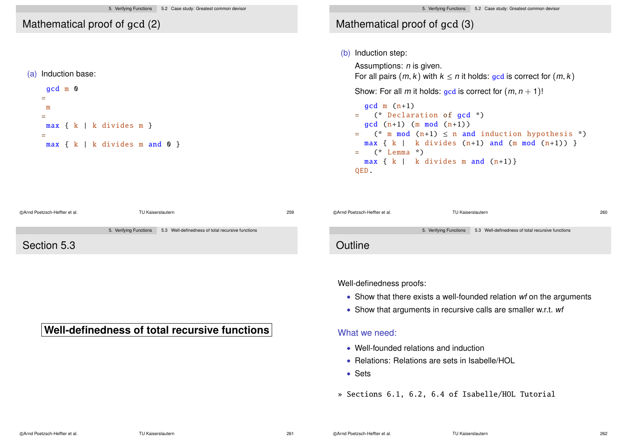### Mathematical proof of gcd (2)

#### (a) Induction base:

```
gcd m 0
=
 m
=
max { k | k divides m }
=max { k | k divides m and 0 }
```
# Mathematical proof of gcd (3)

### (b) Induction step:

Well-definedness proofs:

• Well-founded relations and induction

• Relations: Relations are sets in Isabelle/HOL

» Sections 6.1, 6.2, 6.4 of Isabelle/HOL Tutorial

What we need:

Assumptions:  $n$  is given.

For all pairs  $(m, k)$  with  $k \leq n$  it holds: gcd is correct for  $(m, k)$ 

Show: For all m it holds: gcd is correct for  $(m, n + 1)!$ 

```
qcd m (n+1)= (* Declaration of gcd *)
  \text{gcd}(n+1) (m mod (n+1))
= (* m mod (n+1) \leq n and induction hypothesis *)
  max \{ k \mid k \text{ divides } (n+1) \text{ and } (m \text{ mod } (n+1)) \}= (* Lemma *)max \{ k \mid k \text{ divides } m \text{ and } (n+1) \}QED.
```

| @Arnd Poetzsch-Heffter et al. | TU Kaiserslautern |                                                                          | 259 | @Arnd Poetzsch-Heffter et al. | TU Kaiserslautern                                                        | 260 |
|-------------------------------|-------------------|--------------------------------------------------------------------------|-----|-------------------------------|--------------------------------------------------------------------------|-----|
|                               |                   | 5. Verifying Functions 5.3 Well-definedness of total recursive functions |     |                               | 5. Verifying Functions 5.3 Well-definedness of total recursive functions |     |
| Section 5.3                   |                   |                                                                          |     | Outline                       |                                                                          |     |

# **Well-definedness of total recursive functions**

• Sets

• Show that there exists a well-founded relation wf on the arguments

• Show that arguments in recursive calls are smaller w.r.t. wf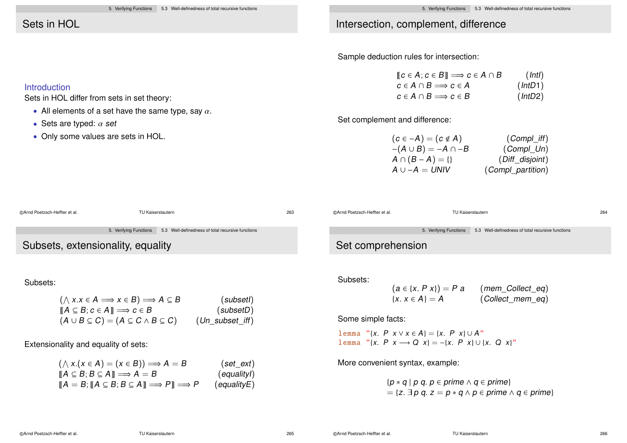### Sets in HOL

Introduction

Sets in HOL differ from sets in set theory:

• Only some values are sets in HOL.

• Sets are typed:  $\alpha$  set

• All elements of a set have the same type, say  $\alpha$ .

### Intersection, complement, difference

Sample deduction rules for intersection:

| $\llbracket c \in A; c \in B \rrbracket \Longrightarrow c \in A \cap B$ | (IntI)  |
|-------------------------------------------------------------------------|---------|
| $c \in A \cap B \Longrightarrow c \in A$                                | (intD1) |
| $c \in A \cap B \Longrightarrow c \in B$                                | (intD2) |

Set complement and difference:

| $(Compl\_iff)$    |
|-------------------|
| $(Compl_U)$       |
| (Diff_disjoint)   |
| (Compl_partition) |
|                   |



Extensionality and equality of sets:

| $(\wedge x.(x \in A) = (x \in B)) \Longrightarrow A = B$                                                              | $(set\_ext)$                 |
|-----------------------------------------------------------------------------------------------------------------------|------------------------------|
| $\llbracket A \subseteq B; B \subseteq A \rrbracket \Longrightarrow A = B$                                            | (equalityl)                  |
| $\llbracket A = B; \llbracket A \subseteq B; B \subseteq A \rrbracket \Longrightarrow P \rrbracket \Longrightarrow P$ | $\left($ equality $E\right)$ |

lemma "{x. P x → Q x} = -{x. P x} ∪ {x. Q x}"

More convenient syntax, example:

 ${p * q | p q, p \in prime \land q \in prime}$  $= \{z, \exists p \ q, z = p * q \land p \in \text{prime} \land q \in \text{prime}\}\$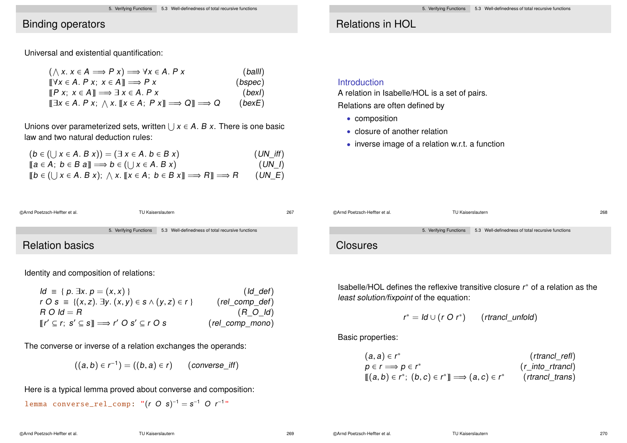### Binding operators

Universal and existential quantification:

$$
(\wedge x. x \in A \Longrightarrow P x) \Longrightarrow \forall x \in A. P x
$$
 (ball)  
\n
$$
[[\forall x \in A. P x; x \in A]] \Longrightarrow P x
$$
 (bspec)  
\n
$$
[[P x; x \in A]] \Longrightarrow \exists x \in A. P x
$$
 (bspec)  
\n
$$
[[\exists x \in A. P x; \wedge x. [[x \in A; P x]] \Longrightarrow Q]] \Longrightarrow Q
$$
 (best)

Unions over parameterized sets, written  $\bigcup x \in A$ . B x. There is one basic law and two natural deduction rules:

| $(b \in (\bigcup x \in A \cdot B \times)) = (\exists x \in A \cdot b \in B \times)$                                                 | $(UN_{\_}iff)$ |
|-------------------------------------------------------------------------------------------------------------------------------------|----------------|
| $[a \in A; b \in B a] \Longrightarrow b \in (\bigcup x \in A. B x)$                                                                 | $(UN_l)$       |
| $[ b \in (\bigcup x \in A \ldotp B \times ) ; \wedge x \ldotp [ [x \in A; b \in B \times ] ] \Longrightarrow R ] \Longrightarrow R$ | $(UN\_E)$      |

### Relations in HOL

#### **Introduction**

A relation in Isabelle/HOL is a set of pairs.

Relations are often defined by

- composition
- closure of another relation
- inverse image of a relation w.r.t. a function

| @Arnd Poetzsch-Heffter et al. |                        | TU Kaiserslautern                                 | 268 |
|-------------------------------|------------------------|---------------------------------------------------|-----|
|                               | 5. Verifying Functions | 5.3 Well-definedness of total recursive functions |     |
| <b>Closures</b>               |                        |                                                   |     |

Isabelle/HOL defines the reflexive transitive closure r ∗ of a relation as the least solution/fixpoint of the equation:

$$
r^* = \mathsf{Id} \cup (r \ O \ r^*) \qquad (\mathsf{rtr} \mathsf{ancl\_unfold})
$$

Basic properties:

| $(a, a) \in r^*$                                              | (rtrancl_refl)      |
|---------------------------------------------------------------|---------------------|
| $p \in r \Longrightarrow p \in r^*$                           | $(r_$ into_rtrancl) |
| $[[(a,b)\in r^*; (b,c)\in r^*]] \Longrightarrow (a,c)\in r^*$ | (rtrancl_trans)     |

5. Verifying Functions 5.3 Well-definedness of total recursive functions Relation basics

©Arnd Poetzsch-Heffter et al. TU Kaiserslautern 267

Identity and composition of relations:

| $Id \equiv \{ p. \exists x. p = (x, x) \}$                                 | $(Id\_def)$                 |
|----------------------------------------------------------------------------|-----------------------------|
| $r O s = \{(x, z), \exists y. (x, y) \in s \land (y, z) \in r \}$          | $(\textit{rel\_comp\_def})$ |
| $R O$ $Id = R$                                                             | $(R_O/d)$                   |
| $[r' \subseteq r; s' \subseteq s] \Longrightarrow r' O s' \subseteq r O s$ | (rel_comp_mono)             |

The converse or inverse of a relation exchanges the operands:

$$
((a,b)\in r^{-1})=((b,a)\in r) \qquad (converse\_iff)
$$

Here is a typical lemma proved about converse and composition:

lemma converse\_rel\_comp: " $(r O s)^{-1} = s^{-1} O r^{-1}$ "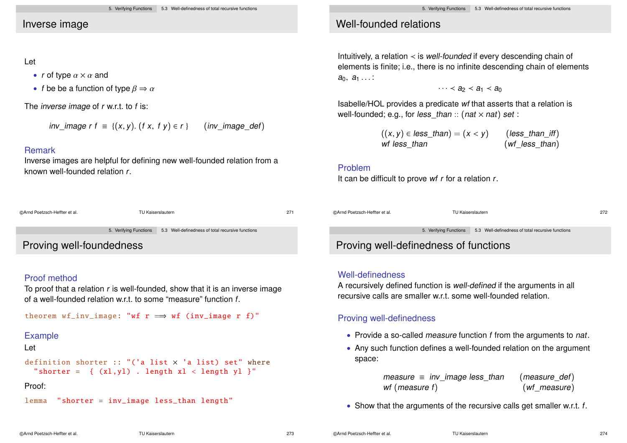### Inverse image

#### Let

- r of type  $\alpha \times \alpha$  and
- f be be a function of type  $\beta \Rightarrow \alpha$

The *inverse image* of  $r$  w.r.t. to  $f$  is:

inv image r f = { $(x, y)$ . (f x, f y)  $\in$  r } (inv image def)

#### Remark

Inverse images are helpful for defining new well-founded relation from a known well-founded relation r.

| ©Arnd Poetzsch-Heffter et al. | TU Kaiserslautern      |                                                   | 271 |
|-------------------------------|------------------------|---------------------------------------------------|-----|
|                               | 5. Verifying Functions | 5.3 Well-definedness of total recursive functions |     |

Proving well-foundedness

### Proof method

To proof that a relation  $r$  is well-founded, show that it is an inverse image of a well-founded relation w.r.t. to some "measure" function f.

theorem  $wf_inv_inage: "wf r \implies wf (inv_inage r f)"$ 

#### Example

#### Let

```
definition shorter :: "('a list \times 'a list) set" where
 "shorter = \{ (x1, y1). length x1 < length y1 }"
```
#### Proof:

lemma "shorter = inv image less than length"

# Well-founded relations

Intuitively, a relation  $\prec$  is well-founded if every descending chain of elements is finite; i.e., there is no infinite descending chain of elements  $a_0, a_1 \ldots$ :

 $\cdots$  <  $a_2$  <  $a_1$  <  $a_0$ 

Isabelle/HOL provides a predicate wf that asserts that a relation is well-founded; e.g., for less than :: (nat  $\times$  nat) set :

| $((x, y) \in less\_than) = (x < y)$ | $(less\_than\_iff)$       |
|-------------------------------------|---------------------------|
| wf less than                        | $(wf_{\text{less}_than})$ |

#### Problem

It can be difficult to prove  $wf$  r for a relation  $r$ .

| @Arnd Poetzsch-Heffter et al. | TU Kaiserslautern | 272 |
|-------------------------------|-------------------|-----|
|                               |                   |     |

5. Verifying Functions 5.3 Well-definedness of total recursive functions

# Proving well-definedness of functions

#### Well-definedness

A recursively defined function is well-defined if the arguments in all recursive calls are smaller w.r.t. some well-founded relation.

### Proving well-definedness

- Provide a so-called *measure* function f from the arguments to nat.
- Any such function defines a well-founded relation on the argument space:

| measure $\equiv$ inv image less than | (measure_def)   |
|--------------------------------------|-----------------|
| wf (measure f)                       | $(wf_m easure)$ |

• Show that the arguments of the recursive calls get smaller w.r.t. f.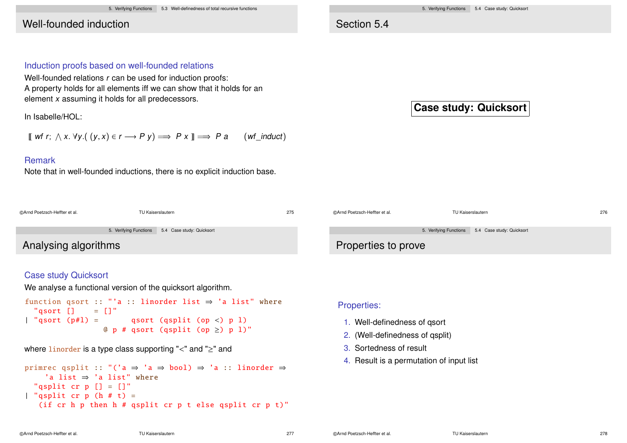5. Verifying Functions 5.3 Well-definedness of total recursive functions

# Well-founded induction

#### 5. Verifying Functions 5.4 Case study: Quicksort

# Section 5.4

### Induction proofs based on well-founded relations

Well-founded relations r can be used for induction proofs: A property holds for all elements iff we can show that it holds for an element x assuming it holds for all predecessors.

In Isabelle/HOL:

 $\llbracket$  wf r;  $\wedge$  x.  $\forall$ y. $((y, x) \in r \longrightarrow P$  y $) \Longrightarrow P$  x  $\rrbracket \Longrightarrow P$  a  $(\wedge f$ \_induct)

### Remark

Note that in well-founded inductions, there is no explicit induction base.

|  |  | <b>Case study: Quicksort</b> |
|--|--|------------------------------|
|--|--|------------------------------|

| @Arnd Poetzsch-Heffter et al. | 275<br>TU Kaiserslautern |                                                  | @Arnd Poetzsch-Heffter et al. | TU Kaiserslautern                                | 276 |
|-------------------------------|--------------------------|--------------------------------------------------|-------------------------------|--------------------------------------------------|-----|
|                               |                          | 5. Verifying Functions 5.4 Case study: Quicksort |                               | 5. Verifying Functions 5.4 Case study: Quicksort |     |
| Analysing algorithms          |                          | Properties to prove                              |                               |                                                  |     |

### Case study Quicksort

We analyse a functional version of the quicksort algorithm.

```
function qsort :: "'a :: linorder list \Rightarrow 'a list" where
  "gsort \begin{bmatrix} 1 \\ 2 \end{bmatrix} = \begin{bmatrix} 1 \\ 2 \end{bmatrix}| "qsort (p\#1) = qsort (qsplit (op <) p l)
                        @p # asort (asplit (op >) p l)"
```
#### where linorder is a type class supporting "<" and "≥" and

primrec qsplit :: "('a ⇒ 'a ⇒ bool) ⇒ 'a :: linorder ⇒ 'a list  $\Rightarrow$  'a list" where "qsplit cr  $p$   $[] = []$ " | "qsplit cr p  $(h # t) =$ (if  $cr$  h p then h # qsplit  $cr$  p t else qsplit  $cr$  p t)"

### Properties:

- 1. Well-definedness of qsort
- 2. (Well-definedness of qsplit)
- 3. Sortedness of result
- 4. Result is a permutation of input list